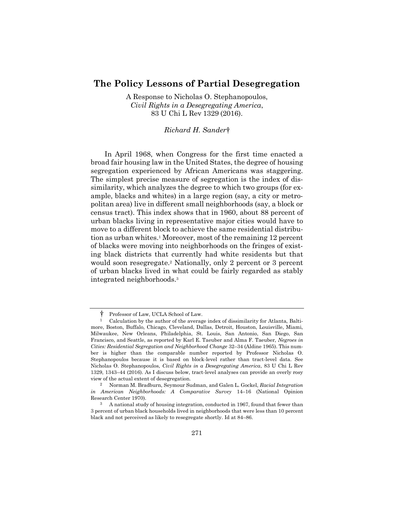# **The Policy Lessons of Partial Desegregation**

A Response to Nicholas O. Stephanopoulos, *Civil Rights in a Desegregating America*, 83 U Chi L Rev 1329 (2016).

### *Richard H. Sander*†

In April 1968, when Congress for the first time enacted a broad fair housing law in the United States, the degree of housing segregation experienced by African Americans was staggering. The simplest precise measure of segregation is the index of dissimilarity, which analyzes the degree to which two groups (for example, blacks and whites) in a large region (say, a city or metropolitan area) live in different small neighborhoods (say, a block or census tract). This index shows that in 1960, about 88 percent of urban blacks living in representative major cities would have to move to a different block to achieve the same residential distribution as urban whites.<sup>1</sup> Moreover, most of the remaining 12 percent of blacks were moving into neighborhoods on the fringes of existing black districts that currently had white residents but that would soon resegregate.<sup>2</sup> Nationally, only 2 percent or 3 percent of urban blacks lived in what could be fairly regarded as stably integrated neighborhoods.<sup>3</sup>

<span id="page-0-0"></span><sup>†</sup> Professor of Law, UCLA School of Law.

<sup>1</sup> Calculation by the author of the average index of dissimilarity for Atlanta, Baltimore, Boston, Buffalo, Chicago, Cleveland, Dallas, Detroit, Houston, Louisville, Miami, Milwaukee, New Orleans, Philadelphia, St. Louis, San Antonio, San Diego, San Francisco, and Seattle, as reported by Karl E. Taeuber and Alma F. Taeuber, *Negroes in Cities: Residential Segregation and Neighborhood Change* 32–34 (Aldine 1965). This number is higher than the comparable number reported by Professor Nicholas O. Stephanopoulos because it is based on block-level rather than tract-level data. See Nicholas O. Stephanopoulos, *Civil Rights in a Desegregating America*, 83 U Chi L Rev 1329, 1343–44 (2016). As I discuss below, tract-level analyses can provide an overly rosy view of the actual extent of desegregation.

<sup>2</sup> Norman M. Bradburn, Seymour Sudman, and Galen L. Gockel, *Racial Integration in American Neighborhoods: A Comparative Survey* 14–16 (National Opinion Research Center 1970).

<sup>3</sup> A national study of housing integration, conducted in 1967, found that fewer than 3 percent of urban black households lived in neighborhoods that were less than 10 percent black and not perceived as likely to resegregate shortly. Id at 84–86.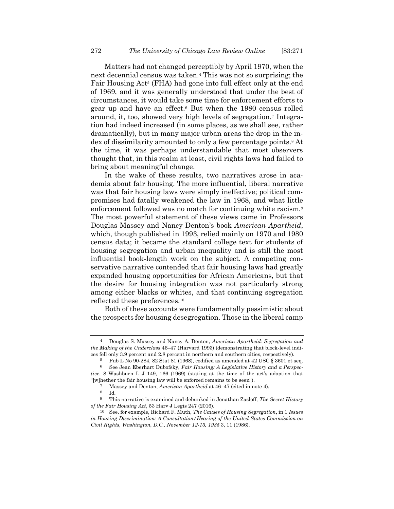<span id="page-1-0"></span>Matters had not changed perceptibly by April 1970, when the next decennial census was taken.<sup>4</sup> This was not so surprising; the Fair Housing Act<sup>5</sup> (FHA) had gone into full effect only at the end of 1969, and it was generally understood that under the best of circumstances, it would take some time for enforcement efforts to gear up and have an effect.<sup>6</sup> But when the 1980 census rolled around, it, too, showed very high levels of segregation.<sup>7</sup> Integration had indeed increased (in some places, as we shall see, rather dramatically), but in many major urban areas the drop in the index of dissimilarity amounted to only a few percentage points.<sup>8</sup> At the time, it was perhaps understandable that most observers thought that, in this realm at least, civil rights laws had failed to bring about meaningful change.

<span id="page-1-2"></span>In the wake of these results, two narratives arose in academia about fair housing. The more influential, liberal narrative was that fair housing laws were simply ineffective; political compromises had fatally weakened the law in 1968, and what little enforcement followed was no match for continuing white racism.<sup>9</sup> The most powerful statement of these views came in Professors Douglas Massey and Nancy Denton's book *American Apartheid*, which, though published in 1993, relied mainly on 1970 and 1980 census data; it became the standard college text for students of housing segregation and urban inequality and is still the most influential book-length work on the subject. A competing conservative narrative contended that fair housing laws had greatly expanded housing opportunities for African Americans, but that the desire for housing integration was not particularly strong among either blacks or whites, and that continuing segregation reflected these preferences.<sup>10</sup>

<span id="page-1-1"></span>Both of these accounts were fundamentally pessimistic about the prospects for housing desegregation. Those in the liberal camp

<sup>4</sup> Douglas S. Massey and Nancy A. Denton, *American Apartheid: Segregation and the Making of the Underclass* 46–47 (Harvard 1993) (demonstrating that block-level indices fell only 3.9 percent and 2.8 percent in northern and southern cities, respectively).

<sup>5</sup> Pub L No 90-284, 82 Stat 81 (1968), codified as amended at 42 USC § 3601 et seq.

<sup>6</sup> See Jean Eberhart Dubofsky, *Fair Housing: A Legislative History and a Perspective*, 8 Washburn L J 149, 166 (1969) (stating at the time of the act's adoption that "[w]hether the fair housing law will be enforced remains to be seen").

<sup>7</sup> Massey and Denton, *American Apartheid* at 46–47 (cited in not[e 4\)](#page-1-0).

 $\frac{8}{9}$  Id.

<sup>9</sup> This narrative is examined and debunked in Jonathan Zasloff, *The Secret History of the Fair Housing Act*, 53 Harv J Legis 247 (2016).

<sup>10</sup> See, for example, Richard F. Muth, *The Causes of Housing Segregation*, in 1 *Issues in Housing Discrimination: A Consultation/Hearing of the United States Commission on Civil Rights, Washington, D.C., November 12-13, 1985* 3, 11 (1986).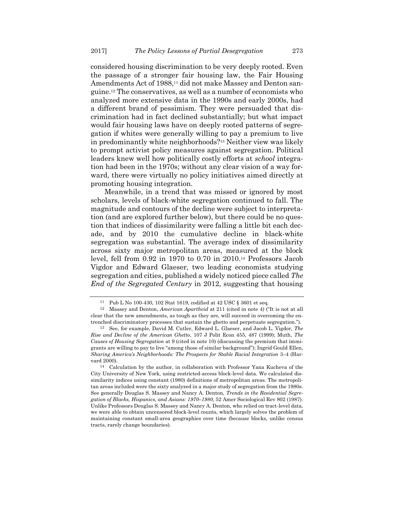considered housing discrimination to be very deeply rooted. Even the passage of a stronger fair housing law, the Fair Housing Amendments Act of 1988, <sup>11</sup> did not make Massey and Denton sanguine.<sup>12</sup> The conservatives, as well as a number of economists who analyzed more extensive data in the 1990s and early 2000s, had a different brand of pessimism. They were persuaded that discrimination had in fact declined substantially; but what impact would fair housing laws have on deeply rooted patterns of segregation if whites were generally willing to pay a premium to live in predominantly white neighborhoods?<sup>13</sup> Neither view was likely to prompt activist policy measures against segregation. Political leaders knew well how politically costly efforts at *school* integration had been in the 1970s; without any clear vision of a way forward, there were virtually no policy initiatives aimed directly at promoting housing integration.

<span id="page-2-0"></span>Meanwhile, in a trend that was missed or ignored by most scholars, levels of black-white segregation continued to fall. The magnitude and contours of the decline were subject to interpretation (and are explored further below), but there could be no question that indices of dissimilarity were falling a little bit each decade, and by 2010 the cumulative decline in black-white segregation was substantial. The average index of dissimilarity across sixty major metropolitan areas, measured at the block level, fell from 0.92 in 1970 to 0.70 in 2010.<sup>14</sup> Professors Jacob Vigdor and Edward Glaeser, two leading economists studying segregation and cities, published a widely noticed piece called *The End of the Segregated Century* in 2012, suggesting that housing

<span id="page-2-1"></span><sup>11</sup> Pub L No 100-430, 102 Stat 1619, codified at 42 USC § 3601 et seq.

<sup>12</sup> Massey and Denton, *American Apartheid* at 211 (cited in not[e 4\)](#page-1-0) ("It is not at all clear that the new amendments, as tough as they are, will succeed in overcoming the entrenched discriminatory processes that sustain the ghetto and perpetuate segregation.").

<sup>13</sup> See, for example, David M. Cutler, Edward L. Glaeser, and Jacob L. Vigdor, *The Rise and Decline of the American Ghetto*, 107 J Polit Econ 455, 487 (1999); Muth, *The Causes of Housing Segregation* at 9 (cited in note [10\)](#page-1-1) (discussing the premium that immigrants are willing to pay to live "among those of similar background"); Ingrid Gould Ellen, *Sharing America's Neighborhoods: The Prospects for Stable Racial Integration* 3–4 (Harvard 2000).

<sup>14</sup> Calculation by the author, in collaboration with Professor Yana Kucheva of the City University of New York, using restricted-access block-level data. We calculated dissimilarity indices using constant (1980) definitions of metropolitan areas. The metropolitan areas included were the sixty analyzed in a major study of segregation from the 1980s. See generally Douglas S. Massey and Nancy A. Denton, *Trends in the Residential Segregation of Blacks, Hispanics, and Asians: 1970–1980*, 52 Amer Sociological Rev 802 (1987). Unlike Professors Douglas S. Massey and Nancy A. Denton, who relied on tract-level data, we were able to obtain uncensored block-level counts, which largely solves the problem of maintaining constant small-area geographies over time (because blocks, unlike census tracts, rarely change boundaries).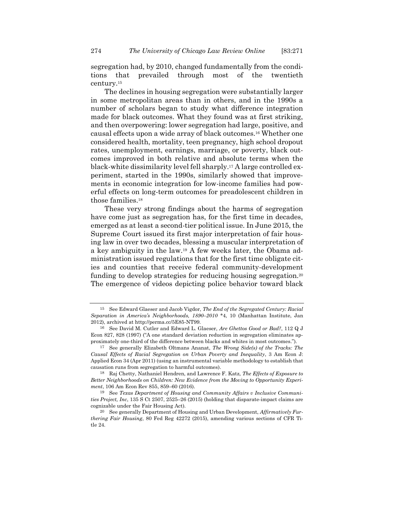segregation had, by 2010, changed fundamentally from the conditions that prevailed through most of the twentieth century.<sup>15</sup>

The declines in housing segregation were substantially larger in some metropolitan areas than in others, and in the 1990s a number of scholars began to study what difference integration made for black outcomes. What they found was at first striking, and then overpowering: lower segregation had large, positive, and causal effects upon a wide array of black outcomes.<sup>16</sup> Whether one considered health, mortality, teen pregnancy, high school dropout rates, unemployment, earnings, marriage, or poverty, black outcomes improved in both relative and absolute terms when the black-white dissimilarity level fell sharply.<sup>17</sup> A large controlled experiment, started in the 1990s, similarly showed that improvements in economic integration for low-income families had powerful effects on long-term outcomes for preadolescent children in those families.<sup>18</sup>

These very strong findings about the harms of segregation have come just as segregation has, for the first time in decades, emerged as at least a second-tier political issue. In June 2015, the Supreme Court issued its first major interpretation of fair housing law in over two decades, blessing a muscular interpretation of a key ambiguity in the law.<sup>19</sup> A few weeks later, the Obama administration issued regulations that for the first time obligate cities and counties that receive federal community-development funding to develop strategies for reducing housing segregation.<sup>20</sup> The emergence of videos depicting police behavior toward black

<sup>15</sup> See Edward Glaeser and Jacob Vigdor, *The End of the Segregated Century: Racial Separation in America's Neighborhoods, 1890–2010* \*4, 10 (Manhattan Institute, Jan 2012), archived at http://perma.cc/5E85-NT99.

<sup>16</sup> See David M. Cutler and Edward L. Glaeser, *Are Ghettos Good or Bad?*, 112 Q J Econ 827, 828 (1997) ("A one standard deviation reduction in segregation eliminates approximately one-third of the difference between blacks and whites in most outcomes.").

<sup>17</sup> See generally Elizabeth Oltmans Ananat, *The Wrong Side(s) of the Tracks: The Causal Effects of Racial Segregation on Urban Poverty and Inequality*, 3 Am Econ J: Applied Econ 34 (Apr 2011) (using an instrumental variable methodology to establish that causation runs from segregation to harmful outcomes).

<sup>18</sup> Raj Chetty, Nathaniel Hendren, and Lawrence F. Katz, *The Effects of Exposure to Better Neighborhoods on Children: New Evidence from the Moving to Opportunity Experiment*, 106 Am Econ Rev 855, 859–60 (2016).

<sup>19</sup> See *Texas Department of Housing and Community Affairs v Inclusive Communities Project, Inc*, 135 S Ct 2507, 2525–26 (2015) (holding that disparate-impact claims are cognizable under the Fair Housing Act).

<sup>20</sup> See generally Department of Housing and Urban Development, *Affirmatively Furthering Fair Housing*, 80 Fed Reg 42272 (2015), amending various sections of CFR Title 24.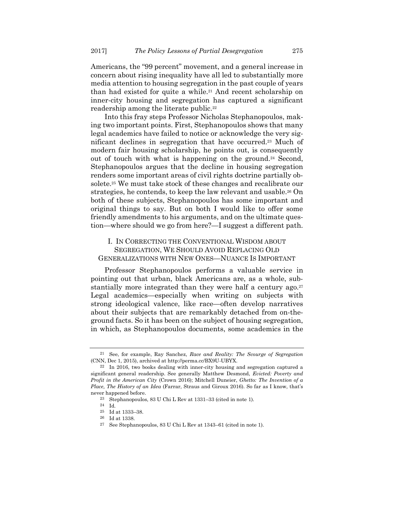Americans, the "99 percent" movement, and a general increase in concern about rising inequality have all led to substantially more media attention to housing segregation in the past couple of years than had existed for quite a while. <sup>21</sup> And recent scholarship on inner-city housing and segregation has captured a significant readership among the literate public.<sup>22</sup>

Into this fray steps Professor Nicholas Stephanopoulos, making two important points. First, Stephanopoulos shows that many legal academics have failed to notice or acknowledge the very significant declines in segregation that have occurred.<sup>23</sup> Much of modern fair housing scholarship, he points out, is consequently out of touch with what is happening on the ground.<sup>24</sup> Second, Stephanopoulos argues that the decline in housing segregation renders some important areas of civil rights doctrine partially obsolete.<sup>25</sup> We must take stock of these changes and recalibrate our strategies, he contends, to keep the law relevant and usable.<sup>26</sup> On both of these subjects, Stephanopoulos has some important and original things to say. But on both I would like to offer some friendly amendments to his arguments, and on the ultimate question—where should we go from here?—I suggest a different path.

## I. IN CORRECTING THE CONVENTIONAL WISDOM ABOUT SEGREGATION, WE SHOULD AVOID REPLACING OLD GENERALIZATIONS WITH NEW ONES—NUANCE IS IMPORTANT

Professor Stephanopoulos performs a valuable service in pointing out that urban, black Americans are, as a whole, substantially more integrated than they were half a century ago.<sup>27</sup> Legal academics—especially when writing on subjects with strong ideological valence, like race—often develop narratives about their subjects that are remarkably detached from on-theground facts. So it has been on the subject of housing segregation, in which, as Stephanopoulos documents, some academics in the

<sup>21</sup> See, for example, Ray Sanchez, *Race and Reality: The Scourge of Segregation* (CNN, Dec 1, 2015), archived at http://perma.cc/BX9U-UBYX.

<sup>22</sup> In 2016, two books dealing with inner-city housing and segregation captured a significant general readership. See generally Matthew Desmond, *Evicted: Poverty and Profit in the American City* (Crown 2016); Mitchell Duneier, *Ghetto: The Invention of a Place, The History of an Idea* (Farrar, Straus and Giroux 2016). So far as I know, that's never happened before.

<sup>23</sup> Stephanopoulos, 83 U Chi L Rev at 1331–33 (cited in not[e 1\)](#page-0-0).

<sup>24</sup> Id.

<sup>25</sup> Id at 1333–38.

<sup>26</sup> Id at 1338.

<sup>27</sup> See Stephanopoulos, 83 U Chi L Rev at 1343–61 (cited in note [1\)](#page-0-0).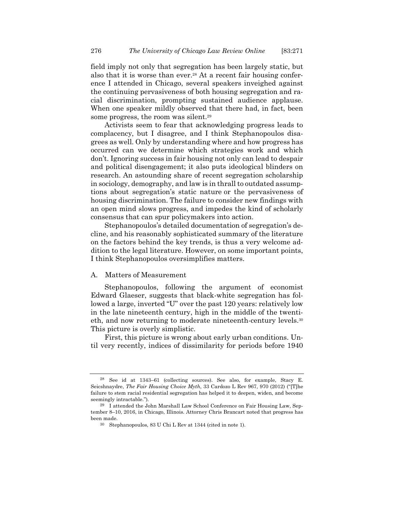field imply not only that segregation has been largely static, but also that it is worse than ever.<sup>28</sup> At a recent fair housing conference I attended in Chicago, several speakers inveighed against the continuing pervasiveness of both housing segregation and racial discrimination, prompting sustained audience applause. When one speaker mildly observed that there had, in fact, been some progress, the room was silent.<sup>29</sup>

Activists seem to fear that acknowledging progress leads to complacency, but I disagree, and I think Stephanopoulos disagrees as well. Only by understanding where and how progress has occurred can we determine which strategies work and which don't. Ignoring success in fair housing not only can lead to despair and political disengagement; it also puts ideological blinders on research. An astounding share of recent segregation scholarship in sociology, demography, and law is in thrall to outdated assumptions about segregation's static nature or the pervasiveness of housing discrimination. The failure to consider new findings with an open mind slows progress, and impedes the kind of scholarly consensus that can spur policymakers into action.

Stephanopoulos's detailed documentation of segregation's decline, and his reasonably sophisticated summary of the literature on the factors behind the key trends, is thus a very welcome addition to the legal literature. However, on some important points, I think Stephanopoulos oversimplifies matters.

### A. Matters of Measurement

Stephanopoulos, following the argument of economist Edward Glaeser, suggests that black-white segregation has followed a large, inverted "U" over the past 120 years: relatively low in the late nineteenth century, high in the middle of the twentieth, and now returning to moderate nineteenth-century levels.<sup>30</sup> This picture is overly simplistic.

First, this picture is wrong about early urban conditions. Until very recently, indices of dissimilarity for periods before 1940

<sup>28</sup> See id at 1343–61 (collecting sources). See also, for example, Stacy E. Seicshnaydre, *The Fair Housing Choice Myth*, 33 Cardozo L Rev 967, 970 (2012) ("[T]he failure to stem racial residential segregation has helped it to deepen, widen, and become seemingly intractable.").

<sup>29</sup> I attended the John Marshall Law School Conference on Fair Housing Law, September 8–10, 2016, in Chicago, Illinois. Attorney Chris Brancart noted that progress has been made.

<sup>30</sup> Stephanopoulos, 83 U Chi L Rev at 1344 (cited in not[e 1\)](#page-0-0).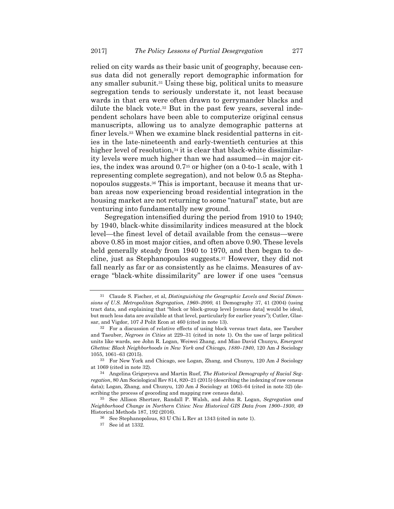<span id="page-6-0"></span>relied on city wards as their basic unit of geography, because census data did not generally report demographic information for any smaller subunit.<sup>31</sup> Using these big, political units to measure segregation tends to seriously understate it, not least because wards in that era were often drawn to gerrymander blacks and dilute the black vote.<sup>32</sup> But in the past few years, several independent scholars have been able to computerize original census manuscripts, allowing us to analyze demographic patterns at finer levels.<sup>33</sup> When we examine black residential patterns in cities in the late-nineteenth and early-twentieth centuries at this higher level of resolution,<sup>34</sup> it is clear that black-white dissimilarity levels were much higher than we had assumed—in major cities, the index was around 0.7<sup>35</sup> or higher (on a 0-to-1 scale, with 1 representing complete segregation), and not below 0.5 as Stephanopoulos suggests. <sup>36</sup> This is important, because it means that urban areas now experiencing broad residential integration in the housing market are not returning to some "natural" state, but are venturing into fundamentally new ground.

Segregation intensified during the period from 1910 to 1940; by 1940, black-white dissimilarity indices measured at the block level—the finest level of detail available from the census—were above 0.85 in most major cities, and often above 0.90. These levels held generally steady from 1940 to 1970, and then began to decline, just as Stephanopoulos suggests.<sup>37</sup> However, they did not fall nearly as far or as consistently as he claims. Measures of average "black-white dissimilarity" are lower if one uses "census

<sup>31</sup> Claude S. Fischer, et al, *Distinguishing the Geographic Levels and Social Dimensions of U.S. Metropolitan Segregation, 1960–2000*, 41 Demography 37, 41 (2004) (using tract data, and explaining that "block or block-group level [census data] would be ideal, but much less data are available at that level, particularly for earlier years"); Cutler, Glaesar, and Vigdor, 107 J Polit Econ at 460 (cited in not[e 13\)](#page-2-0).

<sup>32</sup> For a discussion of relative effects of using block versus tract data, see Taeuber and Taeuber, *Negroes in Cities* at 229–31 (cited in note 1). On the use of large political units like wards, see John R. Logan, Weiwei Zhang, and Miao David Chunyu, *Emergent Ghettos: Black Neighborhoods in New York and Chicago, 1880–1940*, 120 Am J Sociology 1055, 1061–63 (2015).

<sup>33</sup> For New York and Chicago, see Logan, Zhang, and Chunyu, 120 Am J Sociology at 1069 (cited in not[e 32\)](#page-6-0).

<sup>34</sup> Angelina Grigoryeva and Martin Ruef, *The Historical Demography of Racial Segregation*, 80 Am Sociological Rev 814, 820–21 (2015) (describing the indexing of raw census data); Logan, Zhang, and Chunyu, 120 Am J Sociology at 1063–64 (cited in note [32\)](#page-6-0) (describing the process of geocoding and mapping raw census data).

<sup>35</sup> See Allison Shertzer, Randall P. Walsh, and John R. Logan, *Segregation and Neighborhood Change in Northern Cities: New Historical GIS Data from 1900–1930*, 49 Historical Methods 187, 192 (2016).

<sup>36</sup> See Stephanopolous, 83 U Chi L Rev at 1343 (cited in note 1).

<sup>37</sup> See id at 1332.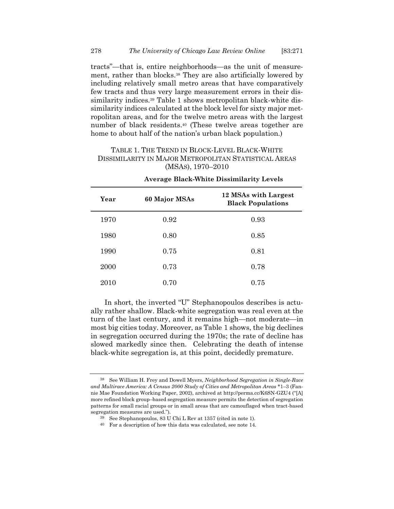tracts"—that is, entire neighborhoods—as the unit of measurement, rather than blocks.<sup>38</sup> They are also artificially lowered by including relatively small metro areas that have comparatively few tracts and thus very large measurement errors in their dissimilarity indices.<sup>39</sup> Table 1 shows metropolitan black-white dissimilarity indices calculated at the block level for sixty major metropolitan areas, and for the twelve metro areas with the largest number of black residents. <sup>40</sup> (These twelve areas together are home to about half of the nation's urban black population.)

## TABLE 1. THE TREND IN BLOCK-LEVEL BLACK-WHITE DISSIMILARITY IN MAJOR METROPOLITAN STATISTICAL AREAS (MSAS), 1970–2010

| Year | 60 Major MSAs | 12 MSAs with Largest<br><b>Black Populations</b> |
|------|---------------|--------------------------------------------------|
| 1970 | 0.92          | 0.93                                             |
| 1980 | 0.80          | 0.85                                             |
| 1990 | 0.75          | 0.81                                             |
| 2000 | 0.73          | 0.78                                             |
| 2010 | 0.70          | 0.75                                             |

#### **Average Black-White Dissimilarity Levels**

In short, the inverted "U" Stephanopoulos describes is actually rather shallow. Black-white segregation was real even at the turn of the last century, and it remains high—not moderate—in most big cities today. Moreover, as Table 1 shows, the big declines in segregation occurred during the 1970s; the rate of decline has slowed markedly since then. Celebrating the death of intense black-white segregation is, at this point, decidedly premature.

<sup>38</sup> See William H. Frey and Dowell Myers, *Neighborhood Segregation in Single-Race and Multirace America: A Census 2000 Study of Cities and Metropolitan Areas* \*1–3 (Fannie Mae Foundation Working Paper, 2002), archived at http://perma.cc/K6SN-GZU4 ("[A] more refined block group–based segregation measure permits the detection of segregation patterns for small racial groups or in small areas that are camouflaged when tract-based segregation measures are used.").

<sup>39</sup> See Stephanopoulos, 83 U Chi L Rev at 1357 (cited in note [1\)](#page-0-0).

<sup>40</sup> For a description of how this data was calculated, see note [14.](#page-2-1)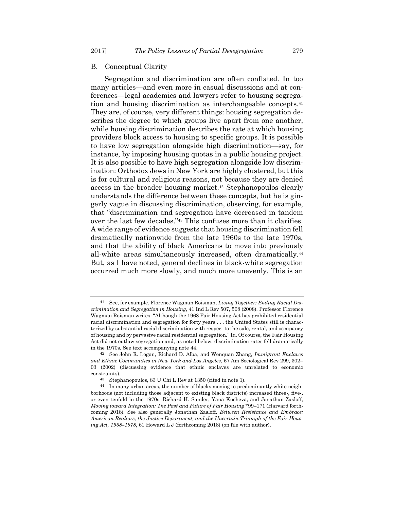### B. Conceptual Clarity

Segregation and discrimination are often conflated. In too many articles—and even more in casual discussions and at conferences—legal academics and lawyers refer to housing segregation and housing discrimination as interchangeable concepts.<sup>41</sup> They are, of course, very different things: housing segregation describes the degree to which groups live apart from one another, while housing discrimination describes the rate at which housing providers block access to housing to specific groups. It is possible to have low segregation alongside high discrimination—say, for instance, by imposing housing quotas in a public housing project. It is also possible to have high segregation alongside low discrimination: Orthodox Jews in New York are highly clustered, but this is for cultural and religious reasons, not because they are denied access in the broader housing market.<sup>42</sup> Stephanopoulos clearly understands the difference between these concepts, but he is gingerly vague in discussing discrimination, observing, for example, that "discrimination and segregation have decreased in tandem over the last few decades."<sup>43</sup> This confuses more than it clarifies. A wide range of evidence suggests that housing discrimination fell dramatically nationwide from the late 1960s to the late 1970s, and that the ability of black Americans to move into previously all-white areas simultaneously increased, often dramatically.<sup>44</sup> But, as I have noted, general declines in black-white segregation occurred much more slowly, and much more unevenly. This is an

<span id="page-8-0"></span><sup>41</sup> See, for example, Florence Wagman Roisman, *Living Together: Ending Racial Discrimination and Segregation in Housing*, 41 Ind L Rev 507, 508 (2008). Professor Florence Wagman Roisman writes: "Although the 1968 Fair Housing Act has prohibited residential racial discrimination and segregation for forty years . . . the United States still is characterized by substantial racial discrimination with respect to the sale, rental, and occupancy of housing and by pervasive racial residential segregation." Id. Of course, the Fair Housing Act did not outlaw segregation and, as noted below, discrimination rates fell dramatically in the 1970s. See text accompanying note [44.](#page-8-0)

<sup>42</sup> See John R. Logan, Richard D. Alba, and Wenquan Zhang, *Immigrant Enclaves and Ethnic Communities in New York and Los Angeles*, 67 Am Sociological Rev 299, 302– 03 (2002) (discussing evidence that ethnic enclaves are unrelated to economic constraints).

<sup>43</sup> Stephanopoulos, 83 U Chi L Rev at 1350 (cited in note [1\)](#page-0-0).

<sup>44</sup> In many urban areas, the number of blacks moving to predominantly white neighborhoods (not including those adjacent to existing black districts) increased three-, five-, or even tenfold in the 1970s. Richard H. Sander, Yana Kucheva, and Jonathan Zasloff, *Moving toward Integration: The Past and Future of Fair Housing* \*99–171 (Harvard forthcoming 2018). See also generally Jonathan Zasloff, *Between Resistance and Embrace: American Realtors, the Justice Department, and the Uncertain Triumph of the Fair Housing Act, 1968–1978*, 61 Howard L J (forthcoming 2018) (on file with author).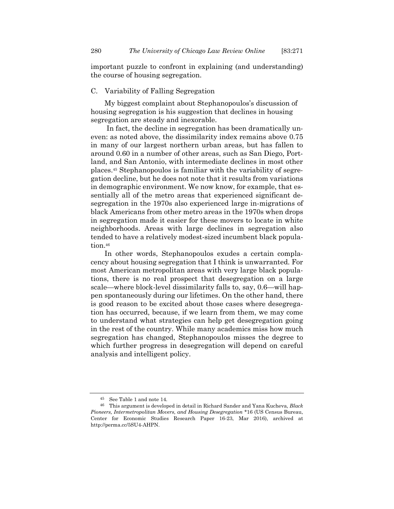important puzzle to confront in explaining (and understanding) the course of housing segregation.

### C. Variability of Falling Segregation

My biggest complaint about Stephanopoulos's discussion of housing segregation is his suggestion that declines in housing segregation are steady and inexorable.

In fact, the decline in segregation has been dramatically uneven: as noted above, the dissimilarity index remains above 0.75 in many of our largest northern urban areas, but has fallen to around 0.60 in a number of other areas, such as San Diego, Portland, and San Antonio, with intermediate declines in most other places.<sup>45</sup> Stephanopoulos is familiar with the variability of segregation decline, but he does not note that it results from variations in demographic environment. We now know, for example, that essentially all of the metro areas that experienced significant desegregation in the 1970s also experienced large in-migrations of black Americans from other metro areas in the 1970s when drops in segregation made it easier for these movers to locate in white neighborhoods. Areas with large declines in segregation also tended to have a relatively modest-sized incumbent black population.<sup>46</sup>

<span id="page-9-0"></span>In other words, Stephanopoulos exudes a certain complacency about housing segregation that I think is unwarranted. For most American metropolitan areas with very large black populations, there is no real prospect that desegregation on a large scale—where block-level dissimilarity falls to, say, 0.6—will happen spontaneously during our lifetimes. On the other hand, there is good reason to be excited about those cases where desegregation has occurred, because, if we learn from them, we may come to understand what strategies can help get desegregation going in the rest of the country. While many academics miss how much segregation has changed, Stephanopoulos misses the degree to which further progress in desegregation will depend on careful analysis and intelligent policy.

<sup>45</sup> See Table 1 and note 14.

<sup>46</sup> This argument is developed in detail in Richard Sander and Yana Kucheva, *Black Pioneers, Intermetropolitan Movers, and Housing Desegregation* \*16 (US Census Bureau, Center for Economic Studies Research Paper 16-23, Mar 2016), archived at http://perma.cc/5SU4-AHPN.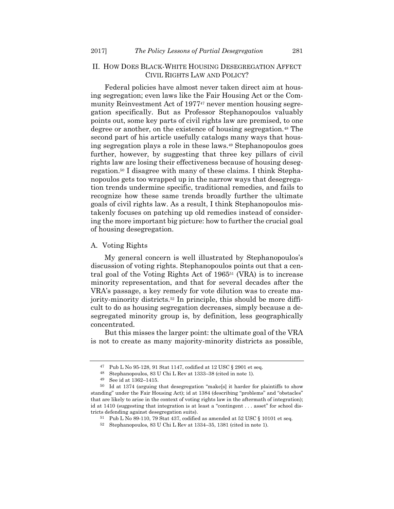## II. HOW DOES BLACK-WHITE HOUSING DESEGREGATION AFFECT CIVIL RIGHTS LAW AND POLICY?

Federal policies have almost never taken direct aim at housing segregation; even laws like the Fair Housing Act or the Community Reinvestment Act of 1977<sup>47</sup> never mention housing segregation specifically. But as Professor Stephanopoulos valuably points out, some key parts of civil rights law are premised, to one degree or another, on the existence of housing segregation.<sup>48</sup> The second part of his article usefully catalogs many ways that housing segregation plays a role in these laws.<sup>49</sup> Stephanopoulos goes further, however, by suggesting that three key pillars of civil rights law are losing their effectiveness because of housing desegregation.<sup>50</sup> I disagree with many of these claims. I think Stephanopoulos gets too wrapped up in the narrow ways that desegregation trends undermine specific, traditional remedies, and fails to recognize how these same trends broadly further the ultimate goals of civil rights law. As a result, I think Stephanopoulos mistakenly focuses on patching up old remedies instead of considering the more important big picture: how to further the crucial goal of housing desegregation.

A. Voting Rights

My general concern is well illustrated by Stephanopoulos's discussion of voting rights. Stephanopoulos points out that a central goal of the Voting Rights Act of 1965<sup>51</sup> (VRA) is to increase minority representation, and that for several decades after the VRA's passage, a key remedy for vote dilution was to create majority-minority districts.<sup>52</sup> In principle, this should be more difficult to do as housing segregation decreases, simply because a desegregated minority group is, by definition, less geographically concentrated.

But this misses the larger point: the ultimate goal of the VRA is not to create as many majority-minority districts as possible,

<sup>47</sup> Pub L No 95-128, 91 Stat 1147, codified at 12 USC § 2901 et seq.

<sup>48</sup> Stephanopoulos, 83 U Chi L Rev at 1333–38 (cited in note [1\)](#page-0-0).

<sup>49</sup> See id at 1362–1415.

<sup>50</sup> Id at 1374 (arguing that desegregation "make[s] it harder for plaintiffs to show standing" under the Fair Housing Act); id at 1384 (describing "problems" and "obstacles" that are likely to arise in the context of voting rights law in the aftermath of integration); id at 1410 (suggesting that integration is at least a "contingent . . . asset" for school districts defending against desegregation suits).

<sup>51</sup> Pub L No 89-110, 79 Stat 437, codified as amended at 52 USC § 10101 et seq.

<sup>52</sup> Stephanopoulos, 83 U Chi L Rev at 1334–35, 1381 (cited in note [1\)](#page-0-0).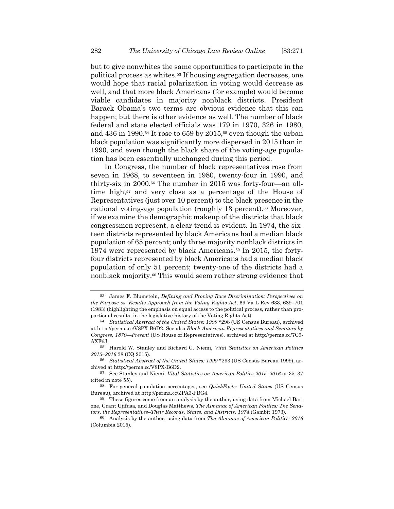but to give nonwhites the same opportunities to participate in the political process as whites.<sup>53</sup> If housing segregation decreases, one would hope that racial polarization in voting would decrease as well, and that more black Americans (for example) would become viable candidates in majority nonblack districts. President Barack Obama's two terms are obvious evidence that this can happen; but there is other evidence as well. The number of black federal and state elected officials was 179 in 1970, 326 in 1980, and 436 in 1990.<sup>54</sup> It rose to 659 by 2015,<sup>55</sup> even though the urban black population was significantly more dispersed in 2015 than in 1990, and even though the black share of the voting-age population has been essentially unchanged during this period.

<span id="page-11-0"></span>In Congress, the number of black representatives rose from seven in 1968, to seventeen in 1980, twenty-four in 1990, and thirty-six in 2000. <sup>56</sup> The number in 2015 was forty-four—an alltime high,<sup>57</sup> and very close as a percentage of the House of Representatives (just over 10 percent) to the black presence in the national voting-age population (roughly 13 percent).<sup>58</sup> Moreover, if we examine the demographic makeup of the districts that black congressmen represent, a clear trend is evident. In 1974, the sixteen districts represented by black Americans had a median black population of 65 percent; only three majority nonblack districts in 1974 were represented by black Americans. <sup>59</sup> In 2015, the fortyfour districts represented by black Americans had a median black population of only 51 percent; twenty-one of the districts had a nonblack majority.<sup>60</sup> This would seem rather strong evidence that

<sup>53</sup> James F. Blumstein, *Defining and Proving Race Discrimination: Perspectives on the Purpose vs. Results Approach from the Voting Rights Act*, 69 Va L Rev 633, 689–701 (1983) (highlighting the emphasis on equal access to the political process, rather than proportional results, in the legislative history of the Voting Rights Act).

<sup>54</sup> *Statistical Abstract of the United States: 1999* \*298 (US Census Bureau), archived at http://perma.cc/V8PX-B6D2. See also *Black-American Representatives and Senators by Congress, 1870—Present* (US House of Representatives), archived at http://perma.cc/7C9- AXF6J.

<sup>55</sup> Harold W. Stanley and Richard G. Niemi, *Vital Statistics on American Politics 2015–2016* 38 (CQ 2015).

<sup>56</sup> *Statistical Abstract of the United States: 1999* \*293 (US Census Bureau 1999), archived at http://perma.cc/V8PX-B6D2.

<sup>57</sup> See Stanley and Niemi, *Vital Statistics on American Politics 2015–2016* at 35–37 (cited in not[e 55\)](#page-11-0).

<sup>58</sup> For general population percentages, see *QuickFacts: United States* (US Census Bureau), archived at http://perma.cc/ZPA3-PBG4.

<sup>59</sup> These figures come from an analysis by the author, using data from Michael Barone, Grant Ujifusa, and Douglas Matthews, *The Almanac of American Politics: The Senators, the Representatives–Their Records, States, and Districts. 1974* (Gambit 1973).

<sup>60</sup> Analysis by the author, using data from *The Almanac of American Politics: 2016*  (Columbia 2015).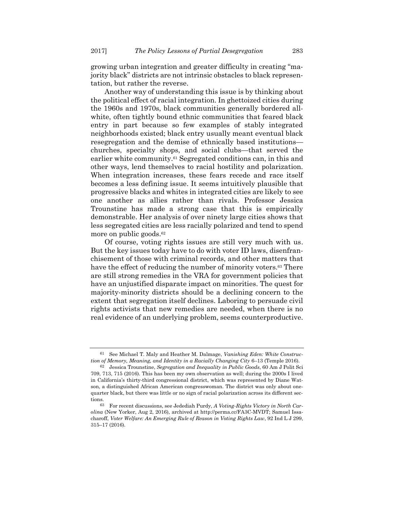growing urban integration and greater difficulty in creating "majority black" districts are not intrinsic obstacles to black representation, but rather the reverse.

Another way of understanding this issue is by thinking about the political effect of racial integration. In ghettoized cities during the 1960s and 1970s, black communities generally bordered allwhite, often tightly bound ethnic communities that feared black entry in part because so few examples of stably integrated neighborhoods existed; black entry usually meant eventual black resegregation and the demise of ethnically based institutions churches, specialty shops, and social clubs—that served the earlier white community. <sup>61</sup> Segregated conditions can, in this and other ways, lend themselves to racial hostility and polarization. When integration increases, these fears recede and race itself becomes a less defining issue. It seems intuitively plausible that progressive blacks and whites in integrated cities are likely to see one another as allies rather than rivals. Professor Jessica Trounstine has made a strong case that this is empirically demonstrable. Her analysis of over ninety large cities shows that less segregated cities are less racially polarized and tend to spend more on public goods.<sup>62</sup>

Of course, voting rights issues are still very much with us. But the key issues today have to do with voter ID laws, disenfranchisement of those with criminal records, and other matters that have the effect of reducing the number of minority voters.<sup>63</sup> There are still strong remedies in the VRA for government policies that have an unjustified disparate impact on minorities. The quest for majority-minority districts should be a declining concern to the extent that segregation itself declines. Laboring to persuade civil rights activists that new remedies are needed, when there is no real evidence of an underlying problem, seems counterproductive.

<sup>61</sup> See Michael T. Maly and Heather M. Dalmage, *Vanishing Eden: White Construction of Memory, Meaning, and Identity in a Racially Changing City* 6–13 (Temple 2016).

<sup>62</sup> Jessica Trounstine, *Segregation and Inequality in Public Goods*, 60 Am J Polit Sci 709, 713, 715 (2016). This has been my own observation as well; during the 2000s I lived in California's thirty-third congressional district, which was represented by Diane Watson, a distinguished African American congresswoman. The district was only about onequarter black, but there was little or no sign of racial polarization across its different sections.

<sup>63</sup> For recent discussions, see Jedediah Purdy, *A Voting-Rights Victory in North Carolina* (New Yorker, Aug 2, 2016), archived at http://perma.cc/FA3C-MVDT; Samuel Issacharoff, *Voter Welfare: An Emerging Rule of Reason in Voting Rights Law*, 92 Ind L J 299, 315–17 (2016).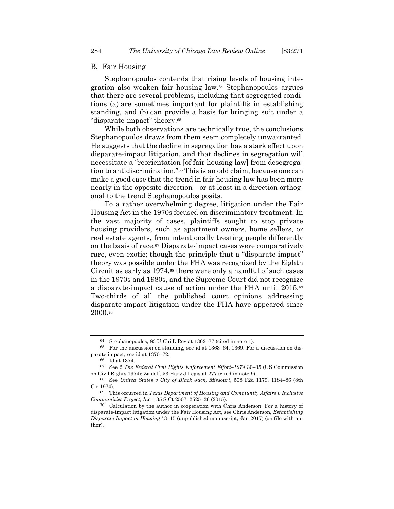### B. Fair Housing

Stephanopoulos contends that rising levels of housing integration also weaken fair housing law.<sup>64</sup> Stephanopoulos argues that there are several problems, including that segregated conditions (a) are sometimes important for plaintiffs in establishing standing, and (b) can provide a basis for bringing suit under a "disparate-impact" theory.<sup>65</sup>

While both observations are technically true, the conclusions Stephanopoulos draws from them seem completely unwarranted. He suggests that the decline in segregation has a stark effect upon disparate-impact litigation, and that declines in segregation will necessitate a "reorientation [of fair housing law] from desegregation to antidiscrimination."<sup>66</sup> This is an odd claim, because one can make a good case that the trend in fair housing law has been more nearly in the opposite direction—or at least in a direction orthogonal to the trend Stephanopoulos posits.

To a rather overwhelming degree, litigation under the Fair Housing Act in the 1970s focused on discriminatory treatment. In the vast majority of cases, plaintiffs sought to stop private housing providers, such as apartment owners, home sellers, or real estate agents, from intentionally treating people differently on the basis of race.<sup>67</sup> Disparate-impact cases were comparatively rare, even exotic; though the principle that a "disparate-impact" theory was possible under the FHA was recognized by the Eighth Circuit as early as 1974, <sup>68</sup> there were only a handful of such cases in the 1970s and 1980s, and the Supreme Court did not recognize a disparate-impact cause of action under the FHA until 2015.<sup>69</sup> Two-thirds of all the published court opinions addressing disparate-impact litigation under the FHA have appeared since 2000.<sup>70</sup>

<sup>64</sup> Stephanopoulos, 83 U Chi L Rev at 1362–77 (cited in note [1\)](#page-0-0).

<sup>65</sup> For the discussion on standing, see id at 1363–64, 1369. For a discussion on disparate impact, see id at 1370–72.

<sup>66</sup> Id at 1374.

<sup>67</sup> See 2 *The Federal Civil Rights Enforcement Effort–1974* 30–35 (US Commission on Civil Rights 1974); Zasloff, 53 Harv J Legis at 277 (cited in note [9\)](#page-1-2).

<sup>68</sup> See *United States v City of Black Jack, Missouri*, 508 F2d 1179, 1184–86 (8th Cir 1974).

<sup>69</sup> This occurred in *Texas Department of Housing and Community Affairs v Inclusive Communities Project, Inc*, 135 S Ct 2507, 2525–26 (2015).

<sup>70</sup> Calculation by the author in cooperation with Chris Anderson. For a history of disparate-impact litigation under the Fair Housing Act, see Chris Anderson, *Establishing Disparate Impact in Housing* \*3–15 (unpublished manuscript, Jan 2017) (on file with author).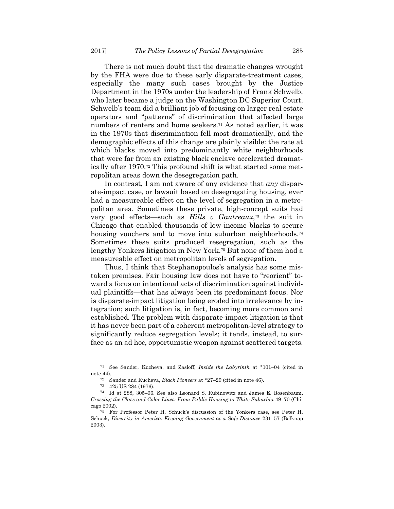There is not much doubt that the dramatic changes wrought by the FHA were due to these early disparate-treatment cases, especially the many such cases brought by the Justice Department in the 1970s under the leadership of Frank Schwelb, who later became a judge on the Washington DC Superior Court. Schwelb's team did a brilliant job of focusing on larger real estate operators and "patterns" of discrimination that affected large numbers of renters and home seekers.<sup>71</sup> As noted earlier, it was in the 1970s that discrimination fell most dramatically, and the demographic effects of this change are plainly visible: the rate at which blacks moved into predominantly white neighborhoods that were far from an existing black enclave accelerated dramatically after 1970.<sup>72</sup> This profound shift is what started some metropolitan areas down the desegregation path.

In contrast, I am not aware of any evidence that *any* disparate-impact case, or lawsuit based on desegregating housing, ever had a measureable effect on the level of segregation in a metropolitan area. Sometimes these private, high-concept suits had very good effects—such as *Hills v Gautreaux*, <sup>73</sup> the suit in Chicago that enabled thousands of low-income blacks to secure housing vouchers and to move into suburban neighborhoods.<sup>74</sup> Sometimes these suits produced resegregation, such as the lengthy Yonkers litigation in New York.<sup>75</sup> But none of them had a measureable effect on metropolitan levels of segregation.

Thus, I think that Stephanopoulos's analysis has some mistaken premises. Fair housing law does not have to "reorient" toward a focus on intentional acts of discrimination against individual plaintiffs—that has always been its predominant focus. Nor is disparate-impact litigation being eroded into irrelevance by integration; such litigation is, in fact, becoming more common and established. The problem with disparate-impact litigation is that it has never been part of a coherent metropolitan-level strategy to significantly reduce segregation levels; it tends, instead, to surface as an ad hoc, opportunistic weapon against scattered targets.

<sup>71</sup> See Sander, Kucheva, and Zasloff, *Inside the Labyrinth* at \*101–04 (cited in note [44\)](#page-8-0).

<sup>72</sup> Sander and Kucheva, *Black Pioneers* at \*27–29 (cited in note [46\)](#page-9-0).

<sup>73</sup> 425 US 284 (1976).

<sup>74</sup> Id at 288, 305–06. See also Leonard S. Rubinowitz and James E. Rosenbaum, *Crossing the Class and Color Lines: From Public Housing to White Suburbia* 49–70 (Chicago 2002).

<sup>75</sup> For Professor Peter H. Schuck's discussion of the Yonkers case, see Peter H. Schuck, *Diversity in America: Keeping Government at a Safe Distance* 231–57 (Belknap 2003).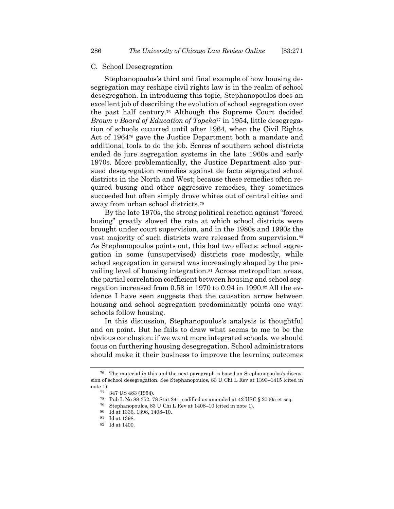#### C. School Desegregation

Stephanopoulos's third and final example of how housing desegregation may reshape civil rights law is in the realm of school desegregation. In introducing this topic, Stephanopoulos does an excellent job of describing the evolution of school segregation over the past half century.<sup>76</sup> Although the Supreme Court decided *Brown v Board of Education of Topeka*<sup>77</sup> in 1954, little desegregation of schools occurred until after 1964, when the Civil Rights Act of 1964<sup>78</sup> gave the Justice Department both a mandate and additional tools to do the job. Scores of southern school districts ended de jure segregation systems in the late 1960s and early 1970s. More problematically, the Justice Department also pursued desegregation remedies against de facto segregated school districts in the North and West; because these remedies often required busing and other aggressive remedies, they sometimes succeeded but often simply drove whites out of central cities and away from urban school districts.<sup>79</sup>

By the late 1970s, the strong political reaction against "forced busing" greatly slowed the rate at which school districts were brought under court supervision, and in the 1980s and 1990s the vast majority of such districts were released from supervision.<sup>80</sup> As Stephanopoulos points out, this had two effects: school segregation in some (unsupervised) districts rose modestly, while school segregation in general was increasingly shaped by the prevailing level of housing integration.<sup>81</sup> Across metropolitan areas, the partial correlation coefficient between housing and school segregation increased from 0.58 in 1970 to 0.94 in 1990.<sup>82</sup> All the evidence I have seen suggests that the causation arrow between housing and school segregation predominantly points one way: schools follow housing.

In this discussion, Stephanopoulos's analysis is thoughtful and on point. But he fails to draw what seems to me to be the obvious conclusion: if we want more integrated schools, we should focus on furthering housing desegregation. School administrators should make it their business to improve the learning outcomes

<sup>76</sup> The material in this and the next paragraph is based on Stephanopoulos's discussion of school desegregation. See Stephanopoulos, 83 U Chi L Rev at 1393–1415 (cited in note [1\)](#page-0-0).

<sup>77</sup> 347 US 483 (1954).

<sup>78</sup> Pub L No 88-352, 78 Stat 241, codified as amended at 42 USC § 2000a et seq.

<sup>79</sup> Stephanopoulos, 83 U Chi L Rev at 1408–10 (cited in note [1\)](#page-0-0).

<sup>80</sup> Id at 1336, 1398, 1408–10.

<sup>81</sup> Id at 1398.

<sup>82</sup> Id at 1400.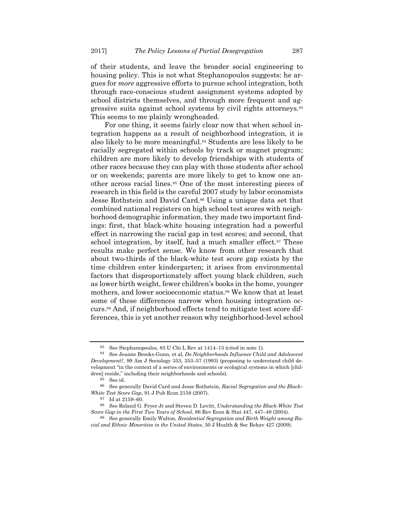of their students, and leave the broader social engineering to housing policy. This is not what Stephanopoulos suggests: he argues for *more* aggressive efforts to pursue school integration, both through race-conscious student assignment systems adopted by school districts themselves, and through more frequent and aggressive suits against school systems by civil rights attorneys.<sup>83</sup> This seems to me plainly wrongheaded.

For one thing, it seems fairly clear now that when school integration happens as a result of neighborhood integration, it is also likely to be more meaningful.<sup>84</sup> Students are less likely to be racially segregated within schools by track or magnet program; children are more likely to develop friendships with students of other races because they can play with those students after school or on weekends; parents are more likely to get to know one another across racial lines.<sup>85</sup> One of the most interesting pieces of research in this field is the careful 2007 study by labor economists Jesse Rothstein and David Card.<sup>86</sup> Using a unique data set that combined national registers on high school test scores with neighborhood demographic information, they made two important findings: first, that black-white housing integration had a powerful effect in narrowing the racial gap in test scores; and second, that school integration, by itself, had a much smaller effect.<sup>87</sup> These results make perfect sense. We know from other research that about two-thirds of the black-white test score gap exists by the time children enter kindergarten; it arises from environmental factors that disproportionately affect young black children, such as lower birth weight, fewer children's books in the home, younger mothers, and lower socioeconomic status.<sup>88</sup> We know that at least some of these differences narrow when housing integration occurs.<sup>89</sup> And, if neighborhood effects tend to mitigate test score differences, this is yet another reason why neighborhood-level school

<sup>83</sup> See Stephanopoulos, 83 U Chi L Rev at 1414–15 (cited in note [1\)](#page-0-0).

<sup>84</sup> See Jeanne Brooks-Gunn, et al, *Do Neighborhoods Influence Child and Adolescent Development?*, 99 Am J Sociology 353, 353–57 (1993) (proposing to understand child development "in the context of a series of environments or ecological systems in which [children] reside," including their neighborhoods and schools).

<sup>85</sup> See id.

<sup>86</sup> See generally David Card and Jesse Rothstein, *Racial Segregation and the Black– White Test Score Gap*, 91 J Pub Econ 2158 (2007).

<sup>87</sup> Id at 2159–60.

<sup>88</sup> See Roland G. Fryer Jr and Steven D. Levitt, *Understanding the Black-White Test Score Gap in the First Two Years of School*, 86 Rev Econ & Stat 447, 447–48 (2004).

<sup>89</sup> See generally Emily Walton, *Residential Segregation and Birth Weight among Racial and Ethnic Minorities in the United States*, 50 J Health & Soc Behav 427 (2009).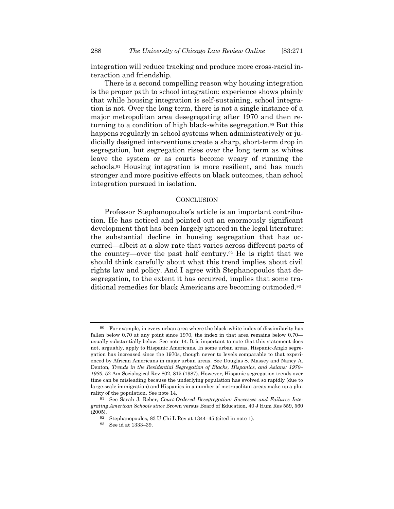integration will reduce tracking and produce more cross-racial interaction and friendship.

There is a second compelling reason why housing integration is the proper path to school integration: experience shows plainly that while housing integration is self-sustaining, school integration is not. Over the long term, there is not a single instance of a major metropolitan area desegregating after 1970 and then returning to a condition of high black-white segregation.<sup>90</sup> But this happens regularly in school systems when administratively or judicially designed interventions create a sharp, short-term drop in segregation, but segregation rises over the long term as whites leave the system or as courts become weary of running the schools.<sup>91</sup> Housing integration is more resilient, and has much stronger and more positive effects on black outcomes, than school integration pursued in isolation.

#### **CONCLUSION**

Professor Stephanopoulos's article is an important contribution. He has noticed and pointed out an enormously significant development that has been largely ignored in the legal literature: the substantial decline in housing segregation that has occurred—albeit at a slow rate that varies across different parts of the country—over the past half century.<sup>92</sup> He is right that we should think carefully about what this trend implies about civil rights law and policy. And I agree with Stephanopoulos that desegregation, to the extent it has occurred, implies that some traditional remedies for black Americans are becoming outmoded.<sup>93</sup>

<sup>90</sup> For example, in every urban area where the black-white index of dissimilarity has fallen below 0.70 at any point since 1970, the index in that area remains below 0.70 usually substantially below. See note [14.](#page-2-1) It is important to note that this statement does not, arguably, apply to Hispanic Americans. In some urban areas, Hispanic-Anglo segregation has increased since the 1970s, though never to levels comparable to that experienced by African Americans in major urban areas. See Douglas S. Massey and Nancy A. Denton, *Trends in the Residential Segregation of Blacks, Hispanics, and Asians: 1970– 1980*, 52 Am Sociological Rev 802, 815 (1987). However, Hispanic segregation trends over time can be misleading because the underlying population has evolved so rapidly (due to large-scale immigration) and Hispanics in a number of metropolitan areas make up a plurality of the population. See note [14.](#page-2-1)

<sup>91</sup> See Sarah J. Reber, *Court-Ordered Desegregation: Successes and Failures Integrating American Schools since* Brown versus Board of Education, 40 J Hum Res 559, 560  $(2005)$ .

<sup>92</sup> Stephanopoulos, 83 U Chi L Rev at  $1344-45$  (cited in note [1\)](#page-0-0).<br>93 See id at  $1333-39$ 

See id at 1333-39.